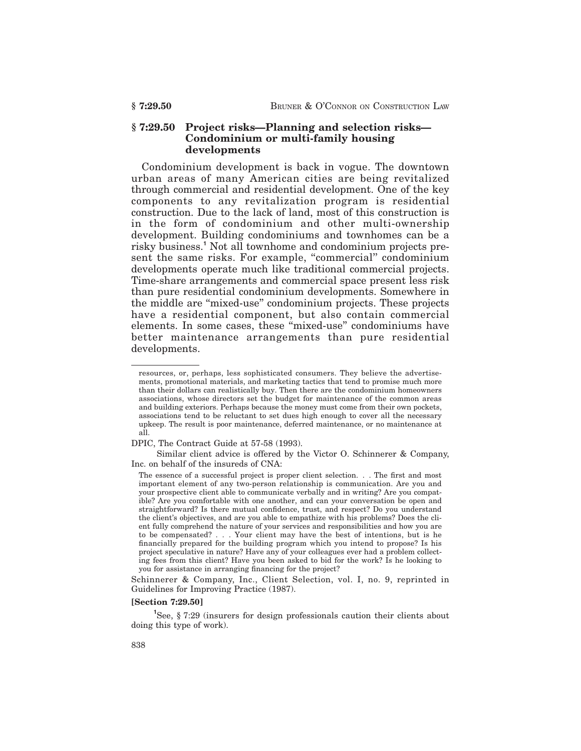# **§ 7:29.50 Project risks—Planning and selection risks— Condominium or multi-family housing developments**

Condominium development is back in vogue. The downtown urban areas of many American cities are being revitalized through commercial and residential development. One of the key components to any revitalization program is residential construction. Due to the lack of land, most of this construction is in the form of condominium and other multi-ownership development. Building condominiums and townhomes can be a risky business.**<sup>1</sup>** Not all townhome and condominium projects present the same risks. For example, "commercial" condominium developments operate much like traditional commercial projects. Time-share arrangements and commercial space present less risk than pure residential condominium developments. Somewhere in the middle are ''mixed-use'' condominium projects. These projects have a residential component, but also contain commercial elements. In some cases, these ''mixed-use'' condominiums have better maintenance arrangements than pure residential developments.

#### **[Section 7:29.50]**

<sup>1</sup>See, § 7:29 (insurers for design professionals caution their clients about doing this type of work).

resources, or, perhaps, less sophisticated consumers. They believe the advertisements, promotional materials, and marketing tactics that tend to promise much more than their dollars can realistically buy. Then there are the condominium homeowners associations, whose directors set the budget for maintenance of the common areas and building exteriors. Perhaps because the money must come from their own pockets, associations tend to be reluctant to set dues high enough to cover all the necessary upkeep. The result is poor maintenance, deferred maintenance, or no maintenance at all.

DPIC, The Contract Guide at 57-58 (1993).

Similar client advice is offered by the Victor O. Schinnerer & Company, Inc. on behalf of the insureds of CNA:

The essence of a successful project is proper client selection. . . The first and most important element of any two-person relationship is communication. Are you and your prospective client able to communicate verbally and in writing? Are you compatible? Are you comfortable with one another, and can your conversation be open and straightforward? Is there mutual confidence, trust, and respect? Do you understand the client's objectives, and are you able to empathize with his problems? Does the client fully comprehend the nature of your services and responsibilities and how you are to be compensated? . . . Your client may have the best of intentions, but is he financially prepared for the building program which you intend to propose? Is his project speculative in nature? Have any of your colleagues ever had a problem collecting fees from this client? Have you been asked to bid for the work? Is he looking to you for assistance in arranging financing for the project?

Schinnerer & Company, Inc., Client Selection, vol. I, no. 9, reprinted in Guidelines for Improving Practice (1987).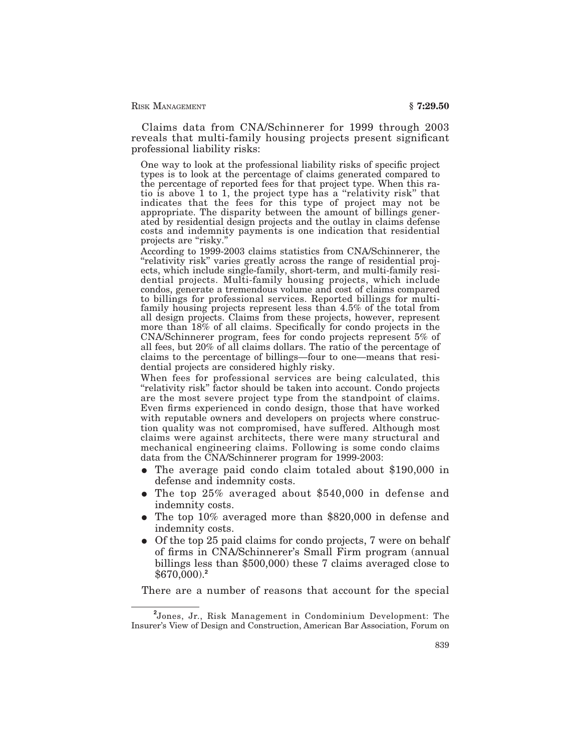Claims data from CNA/Schinnerer for 1999 through 2003 reveals that multi-family housing projects present significant professional liability risks:

One way to look at the professional liability risks of specific project types is to look at the percentage of claims generated compared to the percentage of reported fees for that project type. When this ratio is above 1 to 1, the project type has a ''relativity risk'' that indicates that the fees for this type of project may not be appropriate. The disparity between the amount of billings generated by residential design projects and the outlay in claims defense costs and indemnity payments is one indication that residential projects are "risky."

According to 1999-2003 claims statistics from CNA/Schinnerer, the "relativity risk" varies greatly across the range of residential projects, which include single-family, short-term, and multi-family residential projects. Multi-family housing projects, which include condos, generate a tremendous volume and cost of claims compared to billings for professional services. Reported billings for multifamily housing projects represent less than 4.5% of the total from all design projects. Claims from these projects, however, represent more than 18% of all claims. Specifically for condo projects in the CNA/Schinnerer program, fees for condo projects represent 5% of all fees, but 20% of all claims dollars. The ratio of the percentage of claims to the percentage of billings—four to one—means that residential projects are considered highly risky.

When fees for professional services are being calculated, this ''relativity risk'' factor should be taken into account. Condo projects are the most severe project type from the standpoint of claims. Even firms experienced in condo design, those that have worked with reputable owners and developers on projects where construction quality was not compromised, have suffered. Although most claims were against architects, there were many structural and mechanical engineering claims. Following is some condo claims data from the CNA/Schinnerer program for 1999-2003:

- The average paid condo claim totaled about \$190,000 in defense and indemnity costs.
- The top  $25\%$  averaged about \$540,000 in defense and indemnity costs.
- The top 10% averaged more than \$820,000 in defense and indemnity costs.
- Of the top 25 paid claims for condo projects, 7 were on behalf of firms in CNA/Schinnerer's Small Firm program (annual billings less than \$500,000) these 7 claims averaged close to \$670,000).**<sup>2</sup>**

There are a number of reasons that account for the special

**<sup>2</sup>** Jones, Jr., Risk Management in Condominium Development: The Insurer's View of Design and Construction, American Bar Association, Forum on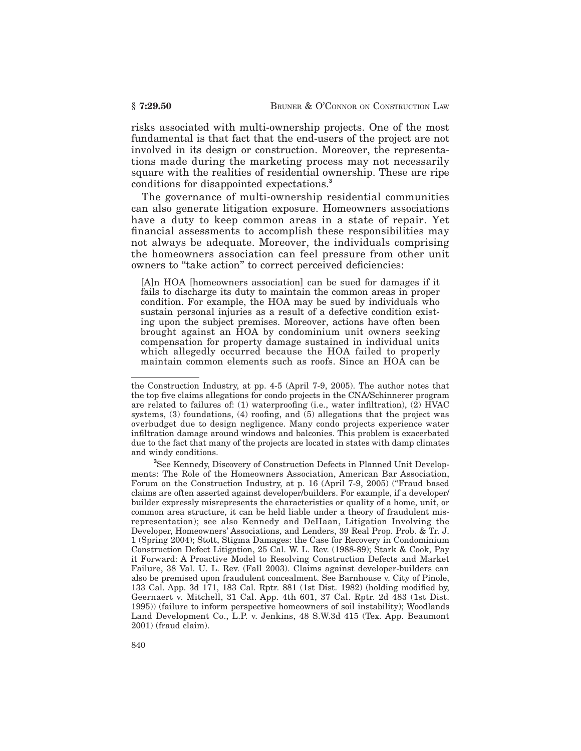risks associated with multi-ownership projects. One of the most fundamental is that fact that the end-users of the project are not involved in its design or construction. Moreover, the representations made during the marketing process may not necessarily square with the realities of residential ownership. These are ripe conditions for disappointed expectations.**<sup>3</sup>**

The governance of multi-ownership residential communities can also generate litigation exposure. Homeowners associations have a duty to keep common areas in a state of repair. Yet financial assessments to accomplish these responsibilities may not always be adequate. Moreover, the individuals comprising the homeowners association can feel pressure from other unit owners to "take action" to correct perceived deficiencies:

[A]n HOA [homeowners association] can be sued for damages if it fails to discharge its duty to maintain the common areas in proper condition. For example, the HOA may be sued by individuals who sustain personal injuries as a result of a defective condition existing upon the subject premises. Moreover, actions have often been brought against an HOA by condominium unit owners seeking compensation for property damage sustained in individual units which allegedly occurred because the HOA failed to properly maintain common elements such as roofs. Since an HOA can be

the Construction Industry, at pp. 4-5 (April 7-9, 2005). The author notes that the top five claims allegations for condo projects in the CNA/Schinnerer program are related to failures of: (1) waterproofing (i.e., water infiltration), (2) HVAC systems, (3) foundations, (4) roofing, and (5) allegations that the project was overbudget due to design negligence. Many condo projects experience water infiltration damage around windows and balconies. This problem is exacerbated due to the fact that many of the projects are located in states with damp climates and windy conditions.

**<sup>3</sup>** See Kennedy, Discovery of Construction Defects in Planned Unit Developments: The Role of the Homeowners Association, American Bar Association, Forum on the Construction Industry, at p. 16 (April 7-9, 2005) ("Fraud based claims are often asserted against developer/builders. For example, if a developer/ builder expressly misrepresents the characteristics or quality of a home, unit, or common area structure, it can be held liable under a theory of fraudulent misrepresentation); see also Kennedy and DeHaan, Litigation Involving the Developer, Homeowners' Associations, and Lenders, 39 Real Prop. Prob. & Tr. J. 1 (Spring 2004); Stott, Stigma Damages: the Case for Recovery in Condominium Construction Defect Litigation, 25 Cal. W. L. Rev. (1988-89); Stark & Cook, Pay it Forward: A Proactive Model to Resolving Construction Defects and Market Failure, 38 Val. U. L. Rev. (Fall 2003). Claims against developer-builders can also be premised upon fraudulent concealment. See Barnhouse v. City of Pinole, 133 Cal. App. 3d 171, 183 Cal. Rptr. 881 (1st Dist. 1982) (holding modified by, Geernaert v. Mitchell, 31 Cal. App. 4th 601, 37 Cal. Rptr. 2d 483 (1st Dist. 1995)) (failure to inform perspective homeowners of soil instability); Woodlands Land Development Co., L.P. v. Jenkins, 48 S.W.3d 415 (Tex. App. Beaumont 2001) (fraud claim).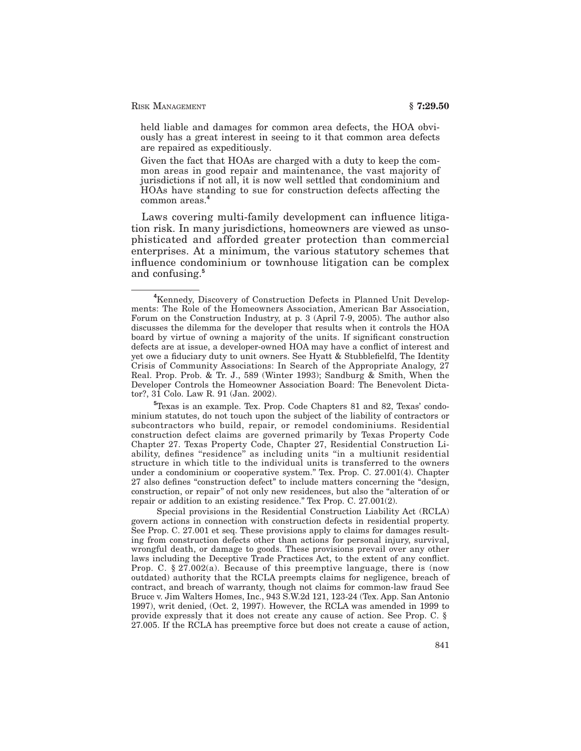held liable and damages for common area defects, the HOA obviously has a great interest in seeing to it that common area defects are repaired as expeditiously.

Given the fact that HOAs are charged with a duty to keep the common areas in good repair and maintenance, the vast majority of jurisdictions if not all, it is now well settled that condominium and HOAs have standing to sue for construction defects affecting the common areas.**<sup>4</sup>**

Laws covering multi-family development can influence litigation risk. In many jurisdictions, homeowners are viewed as unsophisticated and afforded greater protection than commercial enterprises. At a minimum, the various statutory schemes that influence condominium or townhouse litigation can be complex and confusing.**<sup>5</sup>**

Special provisions in the Residential Construction Liability Act (RCLA) govern actions in connection with construction defects in residential property. See Prop. C. 27.001 et seq. These provisions apply to claims for damages resulting from construction defects other than actions for personal injury, survival, wrongful death, or damage to goods. These provisions prevail over any other laws including the Deceptive Trade Practices Act, to the extent of any conflict. Prop. C.  $\S 27.002(a)$ . Because of this preemptive language, there is (now outdated) authority that the RCLA preempts claims for negligence, breach of contract, and breach of warranty, though not claims for common-law fraud See Bruce v. Jim Walters Homes, Inc., 943 S.W.2d 121, 123-24 (Tex. App. San Antonio 1997), writ denied, (Oct. 2, 1997). However, the RCLA was amended in 1999 to provide expressly that it does not create any cause of action. See Prop. C. § 27.005. If the RCLA has preemptive force but does not create a cause of action,

**<sup>4</sup>**Kennedy, Discovery of Construction Defects in Planned Unit Developments: The Role of the Homeowners Association, American Bar Association, Forum on the Construction Industry, at p. 3 (April 7-9, 2005). The author also discusses the dilemma for the developer that results when it controls the HOA board by virtue of owning a majority of the units. If significant construction defects are at issue, a developer-owned HOA may have a conflict of interest and yet owe a fiduciary duty to unit owners. See Hyatt & Stubblefielfd, The Identity Crisis of Community Associations: In Search of the Appropriate Analogy, 27 Real. Prop. Prob. & Tr. J., 589 (Winter 1993); Sandburg & Smith, When the Developer Controls the Homeowner Association Board: The Benevolent Dictator?, 31 Colo. Law R. 91 (Jan. 2002).

**<sup>5</sup>**Texas is an example. Tex. Prop. Code Chapters 81 and 82, Texas' condominium statutes, do not touch upon the subject of the liability of contractors or subcontractors who build, repair, or remodel condominiums. Residential construction defect claims are governed primarily by Texas Property Code Chapter 27. Texas Property Code, Chapter 27, Residential Construction Liability, defines "residence" as including units "in a multiunit residential structure in which title to the individual units is transferred to the owners under a condominium or cooperative system.'' Tex. Prop. C. 27.001(4). Chapter 27 also defines "construction defect" to include matters concerning the "design, construction, or repair'' of not only new residences, but also the ''alteration of or repair or addition to an existing residence.'' Tex Prop. C. 27.001(2).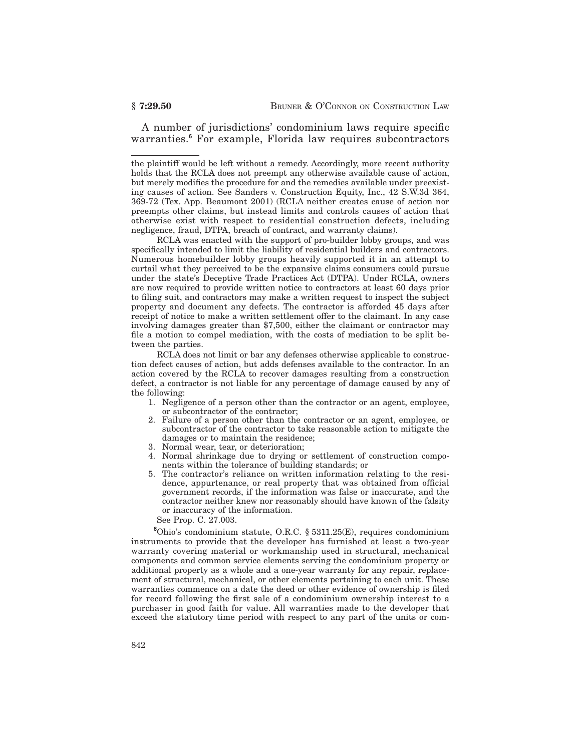A number of jurisdictions' condominium laws require specific warranties.**<sup>6</sup>** For example, Florida law requires subcontractors

RCLA was enacted with the support of pro-builder lobby groups, and was specifically intended to limit the liability of residential builders and contractors. Numerous homebuilder lobby groups heavily supported it in an attempt to curtail what they perceived to be the expansive claims consumers could pursue under the state's Deceptive Trade Practices Act (DTPA). Under RCLA, owners are now required to provide written notice to contractors at least 60 days prior to filing suit, and contractors may make a written request to inspect the subject property and document any defects. The contractor is afforded 45 days after receipt of notice to make a written settlement offer to the claimant. In any case involving damages greater than \$7,500, either the claimant or contractor may file a motion to compel mediation, with the costs of mediation to be split between the parties.

RCLA does not limit or bar any defenses otherwise applicable to construction defect causes of action, but adds defenses available to the contractor. In an action covered by the RCLA to recover damages resulting from a construction defect, a contractor is not liable for any percentage of damage caused by any of the following:

- 1. Negligence of a person other than the contractor or an agent, employee, or subcontractor of the contractor;
- 2. Failure of a person other than the contractor or an agent, employee, or subcontractor of the contractor to take reasonable action to mitigate the damages or to maintain the residence;
- 3. Normal wear, tear, or deterioration;
- 4. Normal shrinkage due to drying or settlement of construction components within the tolerance of building standards; or
- 5. The contractor's reliance on written information relating to the residence, appurtenance, or real property that was obtained from official government records, if the information was false or inaccurate, and the contractor neither knew nor reasonably should have known of the falsity or inaccuracy of the information.

See Prop. C. 27.003.

**<sup>6</sup>**Ohio's condominium statute, O.R.C. § 5311.25(E), requires condominium instruments to provide that the developer has furnished at least a two-year warranty covering material or workmanship used in structural, mechanical components and common service elements serving the condominium property or additional property as a whole and a one-year warranty for any repair, replacement of structural, mechanical, or other elements pertaining to each unit. These warranties commence on a date the deed or other evidence of ownership is filed for record following the first sale of a condominium ownership interest to a purchaser in good faith for value. All warranties made to the developer that exceed the statutory time period with respect to any part of the units or com-

the plaintiff would be left without a remedy. Accordingly, more recent authority holds that the RCLA does not preempt any otherwise available cause of action, but merely modifies the procedure for and the remedies available under preexisting causes of action. See Sanders v. Construction Equity, Inc., 42 S.W.3d 364, 369-72 (Tex. App. Beaumont 2001) (RCLA neither creates cause of action nor preempts other claims, but instead limits and controls causes of action that otherwise exist with respect to residential construction defects, including negligence, fraud, DTPA, breach of contract, and warranty claims).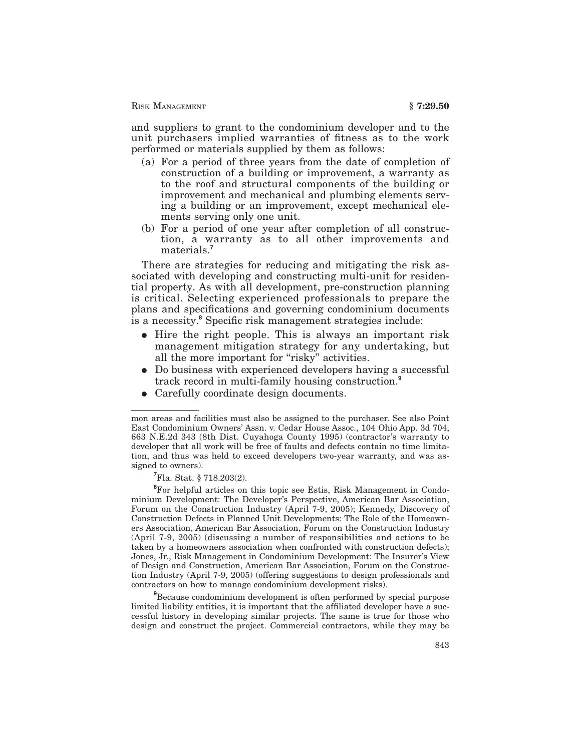and suppliers to grant to the condominium developer and to the unit purchasers implied warranties of fitness as to the work performed or materials supplied by them as follows:

- (a) For a period of three years from the date of completion of construction of a building or improvement, a warranty as to the roof and structural components of the building or improvement and mechanical and plumbing elements serving a building or an improvement, except mechanical elements serving only one unit.
- (b) For a period of one year after completion of all construction, a warranty as to all other improvements and materials.**<sup>7</sup>**

There are strategies for reducing and mitigating the risk associated with developing and constructing multi-unit for residential property. As with all development, pre-construction planning is critical. Selecting experienced professionals to prepare the plans and specifications and governing condominium documents is a necessity.**<sup>8</sup>** Specific risk management strategies include:

- $\bullet$  Hire the right people. This is always an important risk management mitigation strategy for any undertaking, but all the more important for "risky" activities.
- Do business with experienced developers having a successful track record in multi-family housing construction.**<sup>9</sup>**
- Carefully coordinate design documents.

**<sup>7</sup>**Fla. Stat. § 718.203(2).

**<sup>8</sup>**For helpful articles on this topic see Estis, Risk Management in Condominium Development: The Developer's Perspective, American Bar Association, Forum on the Construction Industry (April 7-9, 2005); Kennedy, Discovery of Construction Defects in Planned Unit Developments: The Role of the Homeowners Association, American Bar Association, Forum on the Construction Industry (April 7-9, 2005) (discussing a number of responsibilities and actions to be taken by a homeowners association when confronted with construction defects); Jones, Jr., Risk Management in Condominium Development: The Insurer's View of Design and Construction, American Bar Association, Forum on the Construction Industry (April 7-9, 2005) (offering suggestions to design professionals and contractors on how to manage condominium development risks).

**<sup>9</sup>**Because condominium development is often performed by special purpose limited liability entities, it is important that the affiliated developer have a successful history in developing similar projects. The same is true for those who design and construct the project. Commercial contractors, while they may be

mon areas and facilities must also be assigned to the purchaser. See also Point East Condominium Owners' Assn. v. Cedar House Assoc., 104 Ohio App. 3d 704, 663 N.E.2d 343 (8th Dist. Cuyahoga County 1995) (contractor's warranty to developer that all work will be free of faults and defects contain no time limitation, and thus was held to exceed developers two-year warranty, and was assigned to owners).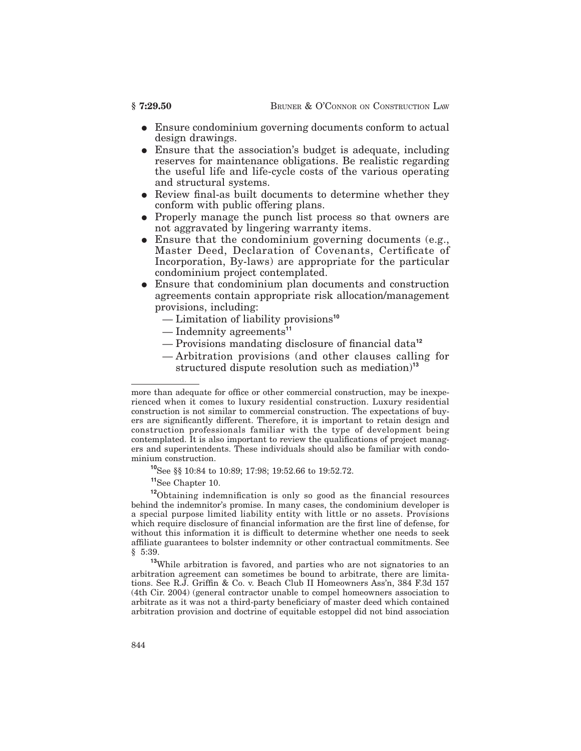- Ensure condominium governing documents conform to actual design drawings.
- Ensure that the association's budget is adequate, including reserves for maintenance obligations. Be realistic regarding the useful life and life-cycle costs of the various operating and structural systems.
- Review final-as built documents to determine whether they conform with public offering plans.
- Properly manage the punch list process so that owners are not aggravated by lingering warranty items.
- Ensure that the condominium governing documents (e.g., Master Deed, Declaration of Covenants, Certificate of Incorporation, By-laws) are appropriate for the particular condominium project contemplated.
- Ensure that condominium plan documents and construction agreements contain appropriate risk allocation/management provisions, including:
	- Limitation of liability provisions**<sup>10</sup>**
	- Indemnity agreements**<sup>11</sup>**
	- Provisions mandating disclosure of financial data**<sup>12</sup>**
	- Arbitration provisions (and other clauses calling for structured dispute resolution such as mediation)**<sup>13</sup>**

**<sup>11</sup>**See Chapter 10.

**<sup>12</sup>**Obtaining indemnification is only so good as the financial resources behind the indemnitor's promise. In many cases, the condominium developer is a special purpose limited liability entity with little or no assets. Provisions which require disclosure of financial information are the first line of defense, for without this information it is difficult to determine whether one needs to seek affiliate guarantees to bolster indemnity or other contractual commitments. See § 5:39.

**<sup>13</sup>**While arbitration is favored, and parties who are not signatories to an arbitration agreement can sometimes be bound to arbitrate, there are limitations. See R.J. Griffin & Co. v. Beach Club II Homeowners Ass'n, 384 F.3d 157 (4th Cir. 2004) (general contractor unable to compel homeowners association to arbitrate as it was not a third-party beneficiary of master deed which contained arbitration provision and doctrine of equitable estoppel did not bind association

more than adequate for office or other commercial construction, may be inexperienced when it comes to luxury residential construction. Luxury residential construction is not similar to commercial construction. The expectations of buyers are significantly different. Therefore, it is important to retain design and construction professionals familiar with the type of development being contemplated. It is also important to review the qualifications of project managers and superintendents. These individuals should also be familiar with condominium construction.

**<sup>10</sup>**See §§ 10:84 to 10:89; 17:98; 19:52.66 to 19:52.72.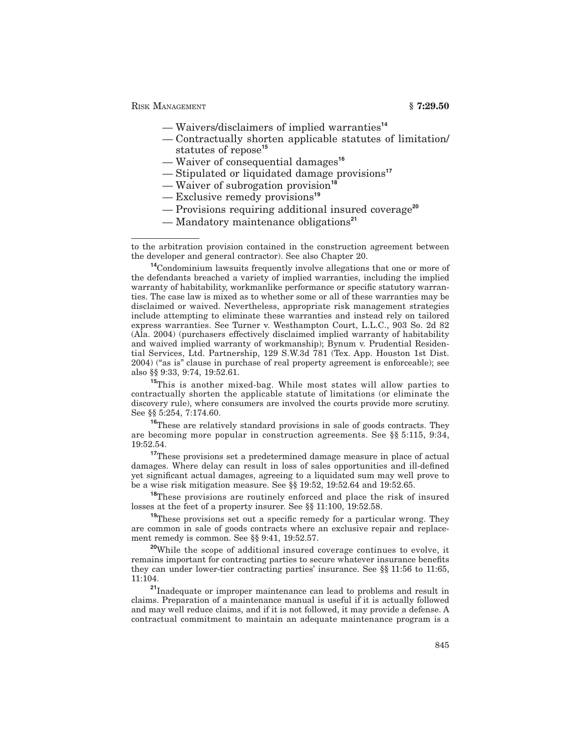RISK MANAGEMENT **§ 7:29.50** 

- Waivers/disclaimers of implied warranties**<sup>14</sup>**
- Contractually shorten applicable statutes of limitation/ statutes of repose**<sup>15</sup>**
- Waiver of consequential damages**<sup>16</sup>**
- Stipulated or liquidated damage provisions**<sup>17</sup>**
- Waiver of subrogation provision**<sup>18</sup>**
- Exclusive remedy provisions**<sup>19</sup>**
- Provisions requiring additional insured coverage**<sup>20</sup>**
- Mandatory maintenance obligations**<sup>21</sup>**

**<sup>15</sup>**This is another mixed-bag. While most states will allow parties to contractually shorten the applicable statute of limitations (or eliminate the discovery rule), where consumers are involved the courts provide more scrutiny. See §§ 5:254, 7:174.60.

**<sup>16</sup>**These are relatively standard provisions in sale of goods contracts. They are becoming more popular in construction agreements. See §§ 5:115, 9:34, 19:52.54.

<sup>17</sup>These provisions set a predetermined damage measure in place of actual damages. Where delay can result in loss of sales opportunities and ill-defined yet significant actual damages, agreeing to a liquidated sum may well prove to be a wise risk mitigation measure. See §§ 19:52, 19:52.64 and 19:52.65.

**<sup>18</sup>**These provisions are routinely enforced and place the risk of insured losses at the feet of a property insurer. See §§ 11:100, 19:52.58.

**<sup>19</sup>**These provisions set out a specific remedy for a particular wrong. They are common in sale of goods contracts where an exclusive repair and replacement remedy is common. See §§ 9:41, 19:52.57.

**<sup>20</sup>**While the scope of additional insured coverage continues to evolve, it remains important for contracting parties to secure whatever insurance benefits they can under lower-tier contracting parties' insurance. See §§ 11:56 to 11:65, 11:104.

**<sup>21</sup>**Inadequate or improper maintenance can lead to problems and result in claims. Preparation of a maintenance manual is useful if it is actually followed and may well reduce claims, and if it is not followed, it may provide a defense. A contractual commitment to maintain an adequate maintenance program is a

to the arbitration provision contained in the construction agreement between the developer and general contractor). See also Chapter 20.

**<sup>14</sup>**Condominium lawsuits frequently involve allegations that one or more of the defendants breached a variety of implied warranties, including the implied warranty of habitability, workmanlike performance or specific statutory warranties. The case law is mixed as to whether some or all of these warranties may be disclaimed or waived. Nevertheless, appropriate risk management strategies include attempting to eliminate these warranties and instead rely on tailored express warranties. See Turner v. Westhampton Court, L.L.C., 903 So. 2d 82 (Ala. 2004) (purchasers effectively disclaimed implied warranty of habitability and waived implied warranty of workmanship); Bynum v. Prudential Residential Services, Ltd. Partnership, 129 S.W.3d 781 (Tex. App. Houston 1st Dist. 2004) (''as is'' clause in purchase of real property agreement is enforceable); see also §§ 9:33, 9:74, 19:52.61.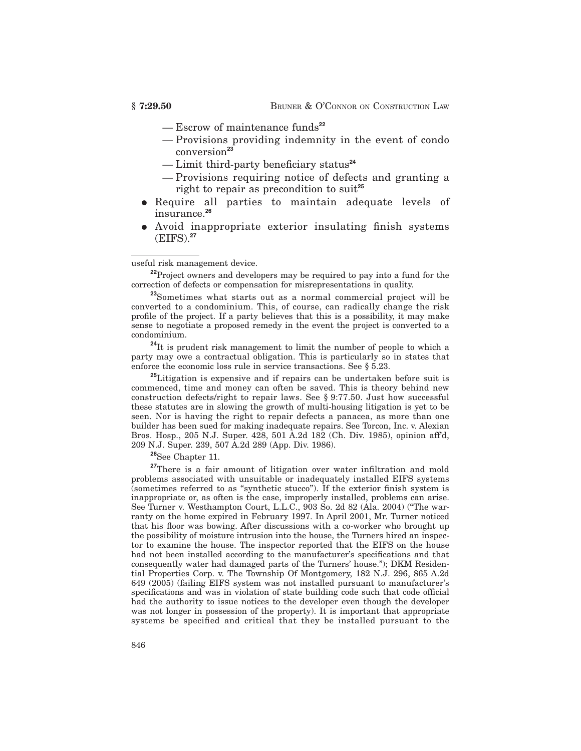- Escrow of maintenance funds**<sup>22</sup>**
- Provisions providing indemnity in the event of condo conversion**<sup>23</sup>**
- Limit third-party beneficiary status**<sup>24</sup>**
- Provisions requiring notice of defects and granting a right to repair as precondition to suit**<sup>25</sup>**
- Require all parties to maintain adequate levels of insurance.**<sup>26</sup>**
- Avoid inappropriate exterior insulating finish systems (EIFS).**<sup>27</sup>**

useful risk management device.

**<sup>22</sup>**Project owners and developers may be required to pay into a fund for the correction of defects or compensation for misrepresentations in quality.

**<sup>23</sup>**Sometimes what starts out as a normal commercial project will be converted to a condominium. This, of course, can radically change the risk profile of the project. If a party believes that this is a possibility, it may make sense to negotiate a proposed remedy in the event the project is converted to a condominium.

<sup>24</sup>It is prudent risk management to limit the number of people to which a party may owe a contractual obligation. This is particularly so in states that enforce the economic loss rule in service transactions. See § 5.23.

**<sup>25</sup>**Litigation is expensive and if repairs can be undertaken before suit is commenced, time and money can often be saved. This is theory behind new construction defects/right to repair laws. See § 9:77.50. Just how successful these statutes are in slowing the growth of multi-housing litigation is yet to be seen. Nor is having the right to repair defects a panacea, as more than one builder has been sued for making inadequate repairs. See Torcon, Inc. v. Alexian Bros. Hosp., 205 N.J. Super. 428, 501 A.2d 182 (Ch. Div. 1985), opinion aff'd, 209 N.J. Super. 239, 507 A.2d 289 (App. Div. 1986).

**<sup>26</sup>**See Chapter 11.

<sup>27</sup>There is a fair amount of litigation over water infiltration and mold problems associated with unsuitable or inadequately installed EIFS systems (sometimes referred to as ''synthetic stucco''). If the exterior finish system is inappropriate or, as often is the case, improperly installed, problems can arise. See Turner v. Westhampton Court, L.L.C., 903 So. 2d 82 (Ala. 2004) (''The warranty on the home expired in February 1997. In April 2001, Mr. Turner noticed that his floor was bowing. After discussions with a co-worker who brought up the possibility of moisture intrusion into the house, the Turners hired an inspector to examine the house. The inspector reported that the EIFS on the house had not been installed according to the manufacturer's specifications and that consequently water had damaged parts of the Turners' house.''); DKM Residential Properties Corp. v. The Township Of Montgomery, 182 N.J. 296, 865 A.2d 649 (2005) (failing EIFS system was not installed pursuant to manufacturer's specifications and was in violation of state building code such that code official had the authority to issue notices to the developer even though the developer was not longer in possession of the property). It is important that appropriate systems be specified and critical that they be installed pursuant to the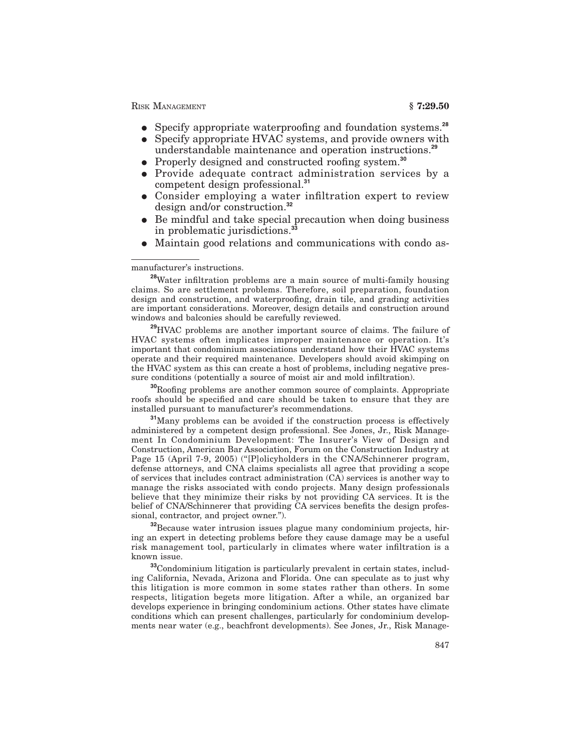RISK MANAGEMENT **§ 7:29.50** 

- E Specify appropriate waterproofing and foundation systems.**<sup>28</sup>**
- Specify appropriate HVAC systems, and provide owners with understandable maintenance and operation instructions.**<sup>29</sup>**
- Properly designed and constructed roofing system.<sup>30</sup>
- Provide adequate contract administration services by a competent design professional.**<sup>31</sup>**
- Consider employing a water infiltration expert to review design and/or construction.**<sup>32</sup>**
- $\bullet$  Be mindful and take special precaution when doing business in problematic jurisdictions.**<sup>33</sup>**
- Maintain good relations and communications with condo as-

### manufacturer's instructions.

**<sup>28</sup>**Water infiltration problems are a main source of multi-family housing claims. So are settlement problems. Therefore, soil preparation, foundation design and construction, and waterproofing, drain tile, and grading activities are important considerations. Moreover, design details and construction around windows and balconies should be carefully reviewed.

**<sup>29</sup>**HVAC problems are another important source of claims. The failure of HVAC systems often implicates improper maintenance or operation. It's important that condominium associations understand how their HVAC systems operate and their required maintenance. Developers should avoid skimping on the HVAC system as this can create a host of problems, including negative pressure conditions (potentially a source of moist air and mold infiltration).

**<sup>30</sup>**Roofing problems are another common source of complaints. Appropriate roofs should be specified and care should be taken to ensure that they are installed pursuant to manufacturer's recommendations.

**<sup>31</sup>**Many problems can be avoided if the construction process is effectively administered by a competent design professional. See Jones, Jr., Risk Management In Condominium Development: The Insurer's View of Design and Construction, American Bar Association, Forum on the Construction Industry at Page 15 (April 7-9, 2005) ("[P]olicyholders in the CNA/Schinnerer program, defense attorneys, and CNA claims specialists all agree that providing a scope of services that includes contract administration (CA) services is another way to manage the risks associated with condo projects. Many design professionals believe that they minimize their risks by not providing CA services. It is the belief of CNA/Schinnerer that providing CA services benefits the design professional, contractor, and project owner.'').

**<sup>32</sup>**Because water intrusion issues plague many condominium projects, hiring an expert in detecting problems before they cause damage may be a useful risk management tool, particularly in climates where water infiltration is a known issue.

**<sup>33</sup>**Condominium litigation is particularly prevalent in certain states, including California, Nevada, Arizona and Florida. One can speculate as to just why this litigation is more common in some states rather than others. In some respects, litigation begets more litigation. After a while, an organized bar develops experience in bringing condominium actions. Other states have climate conditions which can present challenges, particularly for condominium developments near water (e.g., beachfront developments). See Jones, Jr., Risk Manage-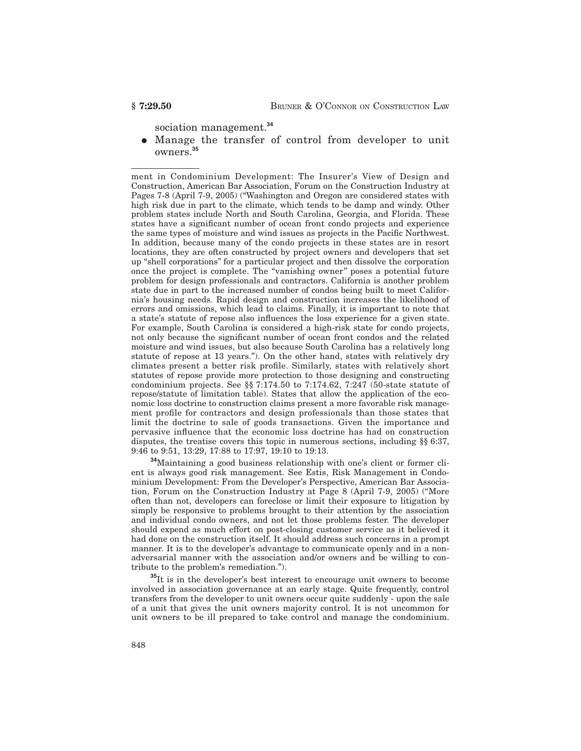sociation management.**<sup>34</sup>**

E Manage the transfer of control from developer to unit owners.**<sup>35</sup>**

ment in Condominium Development: The Insurer's View of Design and Construction, American Bar Association, Forum on the Construction Industry at Pages 7-8 (April 7-9, 2005) (''Washington and Oregon are considered states with high risk due in part to the climate, which tends to be damp and windy. Other problem states include North and South Carolina, Georgia, and Florida. These states have a significant number of ocean front condo projects and experience the same types of moisture and wind issues as projects in the Pacific Northwest. In addition, because many of the condo projects in these states are in resort locations, they are often constructed by project owners and developers that set up ''shell corporations'' for a particular project and then dissolve the corporation once the project is complete. The ''vanishing owner'' poses a potential future problem for design professionals and contractors. California is another problem state due in part to the increased number of condos being built to meet California's housing needs. Rapid design and construction increases the likelihood of errors and omissions, which lead to claims. Finally, it is important to note that a state's statute of repose also influences the loss experience for a given state. For example, South Carolina is considered a high-risk state for condo projects, not only because the significant number of ocean front condos and the related moisture and wind issues, but also because South Carolina has a relatively long statute of repose at 13 years.''). On the other hand, states with relatively dry climates present a better risk profile. Similarly, states with relatively short statutes of repose provide more protection to those designing and constructing condominium projects. See §§ 7:174.50 to 7:174.62, 7:247 (50-state statute of repose/statute of limitation table). States that allow the application of the economic loss doctrine to construction claims present a more favorable risk management profile for contractors and design professionals than those states that limit the doctrine to sale of goods transactions. Given the importance and pervasive influence that the economic loss doctrine has had on construction disputes, the treatise covers this topic in numerous sections, including §§ 6:37, 9:46 to 9:51, 13:29, 17:88 to 17:97, 19:10 to 19:13.

**<sup>34</sup>**Maintaining a good business relationship with one's client or former client is always good risk management. See Estis, Risk Management in Condominium Development: From the Developer's Perspective, American Bar Association, Forum on the Construction Industry at Page 8 (April 7-9, 2005) (''More often than not, developers can foreclose or limit their exposure to litigation by simply be responsive to problems brought to their attention by the association and individual condo owners, and not let those problems fester. The developer should expend as much effort on post-closing customer service as it believed it had done on the construction itself. It should address such concerns in a prompt manner. It is to the developer's advantage to communicate openly and in a nonadversarial manner with the association and/or owners and be willing to contribute to the problem's remediation.'').

**<sup>35</sup>**It is in the developer's best interest to encourage unit owners to become involved in association governance at an early stage. Quite frequently, control transfers from the developer to unit owners occur quite suddenly - upon the sale of a unit that gives the unit owners majority control. It is not uncommon for unit owners to be ill prepared to take control and manage the condominium.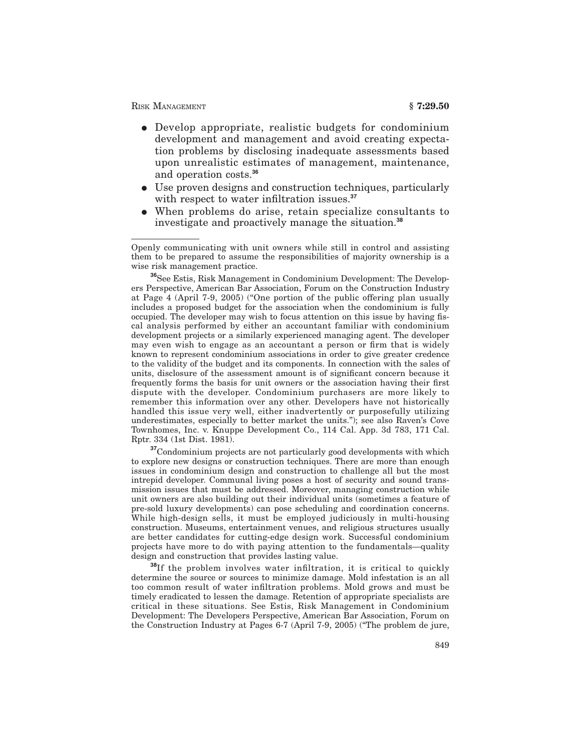## RISK MANAGEMENT **§ 7:29.50**

- Develop appropriate, realistic budgets for condominium development and management and avoid creating expectation problems by disclosing inadequate assessments based upon unrealistic estimates of management, maintenance, and operation costs.**<sup>36</sup>**
- Use proven designs and construction techniques, particularly with respect to water infiltration issues.**<sup>37</sup>**
- When problems do arise, retain specialize consultants to investigate and proactively manage the situation.**<sup>38</sup>**

<sup>36</sup>See Estis, Risk Management in Condominium Development: The Developers Perspective, American Bar Association, Forum on the Construction Industry at Page 4 (April 7-9, 2005) (''One portion of the public offering plan usually includes a proposed budget for the association when the condominium is fully occupied. The developer may wish to focus attention on this issue by having fiscal analysis performed by either an accountant familiar with condominium development projects or a similarly experienced managing agent. The developer may even wish to engage as an accountant a person or firm that is widely known to represent condominium associations in order to give greater credence to the validity of the budget and its components. In connection with the sales of units, disclosure of the assessment amount is of significant concern because it frequently forms the basis for unit owners or the association having their first dispute with the developer. Condominium purchasers are more likely to remember this information over any other. Developers have not historically handled this issue very well, either inadvertently or purposefully utilizing underestimates, especially to better market the units.''); see also Raven's Cove Townhomes, Inc. v. Knuppe Development Co., 114 Cal. App. 3d 783, 171 Cal. Rptr. 334 (1st Dist. 1981).

**<sup>37</sup>**Condominium projects are not particularly good developments with which to explore new designs or construction techniques. There are more than enough issues in condominium design and construction to challenge all but the most intrepid developer. Communal living poses a host of security and sound transmission issues that must be addressed. Moreover, managing construction while unit owners are also building out their individual units (sometimes a feature of pre-sold luxury developments) can pose scheduling and coordination concerns. While high-design sells, it must be employed judiciously in multi-housing construction. Museums, entertainment venues, and religious structures usually are better candidates for cutting-edge design work. Successful condominium projects have more to do with paying attention to the fundamentals—quality design and construction that provides lasting value.

**<sup>38</sup>**If the problem involves water infiltration, it is critical to quickly determine the source or sources to minimize damage. Mold infestation is an all too common result of water infiltration problems. Mold grows and must be timely eradicated to lessen the damage. Retention of appropriate specialists are critical in these situations. See Estis, Risk Management in Condominium Development: The Developers Perspective, American Bar Association, Forum on the Construction Industry at Pages 6-7 (April 7-9, 2005) (''The problem de jure,

Openly communicating with unit owners while still in control and assisting them to be prepared to assume the responsibilities of majority ownership is a wise risk management practice.